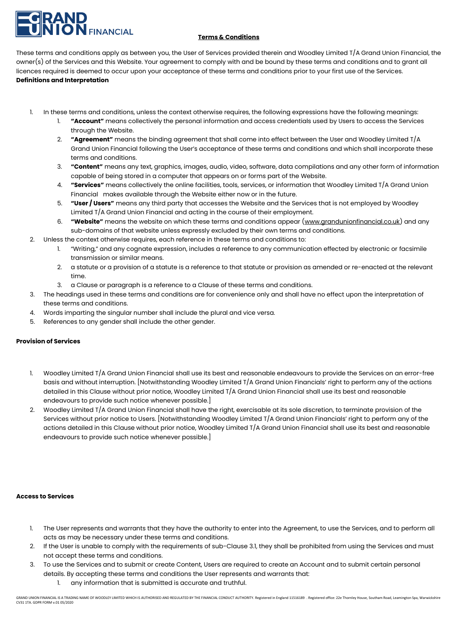# **N** FINANCIAL

# **Terms & Conditions**

These terms and conditions apply as between you, the User of Services provided therein and Woodley Limited T/A Grand Union Financial, the owner(s) of the Services and this Website. Your agreement to comply with and be bound by these terms and conditions and to grant all licences required is deemed to occur upon your acceptance of these terms and conditions prior to your first use of the Services. **Definitions and Interpretation**

- 1. In these terms and conditions, unless the context otherwise requires, the following expressions have the following meanings:
	- 1. **"Account"** means collectively the personal information and access credentials used by Users to access the Services through the Website.
	- 2. **"Agreement"** means the binding agreement that shall come into effect between the User and Woodley Limited T/A Grand Union Financial following the User's acceptance of these terms and conditions and which shall incorporate these terms and conditions.
	- 3. **"Content"** means any text, graphics, images, audio, video, software, data compilations and any other form of information capable of being stored in a computer that appears on or forms part of the Website.
	- 4. **"Services"** means collectively the online facilities, tools, services, or information that Woodley Limited T/A Grand Union Financial makes available through the Website either now or in the future.
	- 5. **"User / Users"** means any third party that accesses the Website and the Services that is not employed by Woodley Limited T/A Grand Union Financial and acting in the course of their employment.
	- 6. **"Website"** means the website on which these terms and conditions appear [\(www.grandunionfinancial.co.uk\)](http://www.grandunionfinancial.co.uk/) and any sub-domains of that website unless expressly excluded by their own terms and conditions.
- 2. Unless the context otherwise requires, each reference in these terms and conditions to:
	- 1. "Writing," and any cognate expression, includes a reference to any communication effected by electronic or facsimile transmission or similar means.
	- 2. a statute or a provision of a statute is a reference to that statute or provision as amended or re-enacted at the relevant time.
	- 3. a Clause or paragraph is a reference to a Clause of these terms and conditions.
- 3. The headings used in these terms and conditions are for convenience only and shall have no effect upon the interpretation of these terms and conditions.
- 4. Words imparting the singular number shall include the plural and vice versa.
- 5. References to any gender shall include the other gender.

# **Provision of Services**

- 1. Woodley Limited T/A Grand Union Financial shall use its best and reasonable endeavours to provide the Services on an error-free basis and without interruption. [Notwithstanding Woodley Limited T/A Grand Union Financials' right to perform any of the actions detailed in this Clause without prior notice, Woodley Limited T/A Grand Union Financial shall use its best and reasonable endeavours to provide such notice whenever possible.]
- 2. Woodley Limited T/A Grand Union Financial shall have the right, exercisable at its sole discretion, to terminate provision of the Services without prior notice to Users. [Notwithstanding Woodley Limited T/A Grand Union Financials' right to perform any of the actions detailed in this Clause without prior notice, Woodley Limited T/A Grand Union Financial shall use its best and reasonable endeavours to provide such notice whenever possible.]

#### **Access to Services**

- 1. The User represents and warrants that they have the authority to enter into the Agreement, to use the Services, and to perform all acts as may be necessary under these terms and conditions.
- 2. If the User is unable to comply with the requirements of sub-Clause 3.1, they shall be prohibited from using the Services and must not accept these terms and conditions.
- 3. To use the Services and to submit or create Content, Users are required to create an Account and to submit certain personal
	- details. By accepting these terms and conditions the User represents and warrants that:
		- 1. any information that is submitted is accurate and truthful.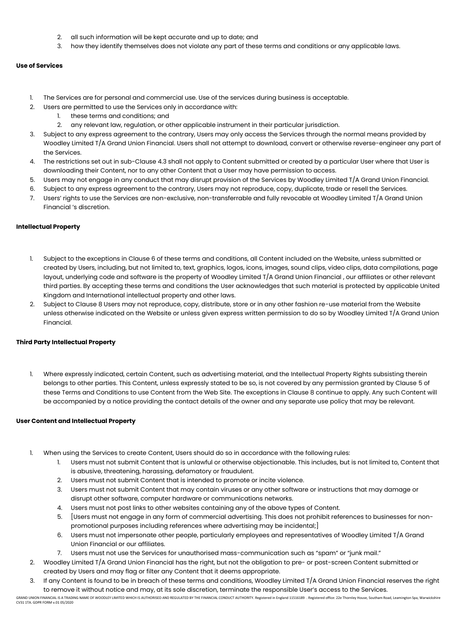- 2. all such information will be kept accurate and up to date; and
- 3. how they identify themselves does not violate any part of these terms and conditions or any applicable laws.

# **Use of Services**

- 1. The Services are for personal and commercial use. Use of the services during business is acceptable.
- 2. Users are permitted to use the Services only in accordance with:
	- 1. these terms and conditions; and
	- 2. any relevant law, regulation, or other applicable instrument in their particular jurisdiction.
- 3. Subject to any express agreement to the contrary, Users may only access the Services through the normal means provided by Woodley Limited T/A Grand Union Financial. Users shall not attempt to download, convert or otherwise reverse-engineer any part of the Services.
- 4. The restrictions set out in sub-Clause 4.3 shall not apply to Content submitted or created by a particular User where that User is downloading their Content, nor to any other Content that a User may have permission to access.
- 5. Users may not engage in any conduct that may disrupt provision of the Services by Woodley Limited T/A Grand Union Financial.
- 6. Subject to any express agreement to the contrary, Users may not reproduce, copy, duplicate, trade or resell the Services.
- 7. Users' rights to use the Services are non-exclusive, non-transferrable and fully revocable at Woodley Limited T/A Grand Union Financial 's discretion.

# **Intellectual Property**

- 1. Subject to the exceptions in Clause 6 of these terms and conditions, all Content included on the Website, unless submitted or created by Users, including, but not limited to, text, graphics, logos, icons, images, sound clips, video clips, data compilations, page layout, underlying code and software is the property of Woodley Limited T/A Grand Union Financial , our affiliates or other relevant third parties. By accepting these terms and conditions the User acknowledges that such material is protected by applicable United Kingdom and International intellectual property and other laws.
- 2. Subject to Clause 8 Users may not reproduce, copy, distribute, store or in any other fashion re-use material from the Website unless otherwise indicated on the Website or unless given express written permission to do so by Woodley Limited T/A Grand Union Financial.

# **Third Party Intellectual Property**

1. Where expressly indicated, certain Content, such as advertising material, and the Intellectual Property Rights subsisting therein belongs to other parties. This Content, unless expressly stated to be so, is not covered by any permission granted by Clause 5 of these Terms and Conditions to use Content from the Web Site. The exceptions in Clause 8 continue to apply. Any such Content will be accompanied by a notice providing the contact details of the owner and any separate use policy that may be relevant.

#### **User Content and Intellectual Property**

- 1. When using the Services to create Content, Users should do so in accordance with the following rules:
	- 1. Users must not submit Content that is unlawful or otherwise objectionable. This includes, but is not limited to, Content that is abusive, threatening, harassing, defamatory or fraudulent.
	- 2. Users must not submit Content that is intended to promote or incite violence.
	- 3. Users must not submit Content that may contain viruses or any other software or instructions that may damage or disrupt other software, computer hardware or communications networks.
	- 4. Users must not post links to other websites containing any of the above types of Content.
	- 5. [Users must not engage in any form of commercial advertising. This does not prohibit references to businesses for nonpromotional purposes including references where advertising may be incidental;]
	- 6. Users must not impersonate other people, particularly employees and representatives of Woodley Limited T/A Grand Union Financial or our affiliates.
	- 7. Users must not use the Services for unauthorised mass-communication such as "spam" or "junk mail."
- 2. Woodley Limited T/A Grand Union Financial has the right, but not the obligation to pre- or post-screen Content submitted or created by Users and may flag or filter any Content that it deems appropriate.
- 3. If any Content is found to be in breach of these terms and conditions, Woodley Limited  $T/A$  Grand Union Financial reserves the right to remove it without notice and may, at its sole discretion, terminate the responsible User's access to the Services.

GRAND UNION FINANCIAL IS A TRADING NAME OF WOODLEY LIMITED WHICH IS AUTHORISED AND REGULATED BY THE FINANCIAL CONDUCT AUTHORITY. Registered in England 11516189 . Registered office: 22e Thornley House, Southam Road, Leaming CV31 1TA. GDPR FORM v.01 05/2020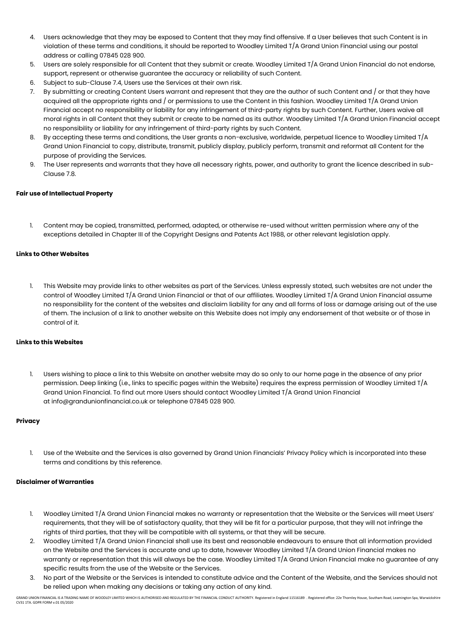- 4. Users acknowledge that they may be exposed to Content that they may find offensive. If a User believes that such Content is in violation of these terms and conditions, it should be reported to Woodley Limited T/A Grand Union Financial using our postal address or calling 07845 028 900.
- 5. Users are solely responsible for all Content that they submit or create. Woodley Limited T/A Grand Union Financial do not endorse, support, represent or otherwise guarantee the accuracy or reliability of such Content.
- 6. Subject to sub-Clause 7.4, Users use the Services at their own risk.
- 7. By submitting or creating Content Users warrant and represent that they are the author of such Content and / or that they have acquired all the appropriate rights and / or permissions to use the Content in this fashion. Woodley Limited T/A Grand Union Financial accept no responsibility or liability for any infringement of third-party rights by such Content. Further, Users waive all moral rights in all Content that they submit or create to be named as its author. Woodley Limited T/A Grand Union Financial accept no responsibility or liability for any infringement of third-party rights by such Content.
- 8. By accepting these terms and conditions, the User grants a non-exclusive, worldwide, perpetual licence to Woodley Limited T/A Grand Union Financial to copy, distribute, transmit, publicly display, publicly perform, transmit and reformat all Content for the purpose of providing the Services.
- 9. The User represents and warrants that they have all necessary rights, power, and authority to grant the licence described in sub-Clause 7.8.

# **Fair use of Intellectual Property**

1. Content may be copied, transmitted, performed, adapted, or otherwise re-used without written permission where any of the exceptions detailed in Chapter III of the Copyright Designs and Patents Act 1988, or other relevant legislation apply.

# **Links to Other Websites**

1. This Website may provide links to other websites as part of the Services. Unless expressly stated, such websites are not under the control of Woodley Limited T/A Grand Union Financial or that of our affiliates. Woodley Limited T/A Grand Union Financial assume no responsibility for the content of the websites and disclaim liability for any and all forms of loss or damage arising out of the use of them. The inclusion of a link to another website on this Website does not imply any endorsement of that website or of those in control of it.

# **Links to this Websites**

1. Users wishing to place a link to this Website on another website may do so only to our home page in the absence of any prior permission. Deep linking (i.e., links to specific pages within the Website) requires the express permission of Woodley Limited T/A Grand Union Financial. To find out more Users should contact Woodley Limited T/A Grand Union Financial at info@grandunionfinancial.co.uk or telephone 07845 028 900.

# **Privacy**

1. Use of the Website and the Services is also governed by Grand Union Financials' Privacy Policy which is incorporated into these terms and conditions by this reference.

#### **Disclaimer of Warranties**

- 1. Woodley Limited T/A Grand Union Financial makes no warranty or representation that the Website or the Services will meet Users' requirements, that they will be of satisfactory quality, that they will be fit for a particular purpose, that they will not infringe the rights of third parties, that they will be compatible with all systems, or that they will be secure.
- 2. Woodley Limited T/A Grand Union Financial shall use its best and reasonable endeavours to ensure that all information provided on the Website and the Services is accurate and up to date, however Woodley Limited T/A Grand Union Financial makes no warranty or representation that this will always be the case. Woodley Limited T/A Grand Union Financial make no guarantee of any specific results from the use of the Website or the Services.
- 3. No part of the Website or the Services is intended to constitute advice and the Content of the Website, and the Services should not be relied upon when making any decisions or taking any action of any kind.

.<br>GRAND UNION FINANCIAL IS A TRADING NAME OF WOODLEY LIMITED WHICH IS AUTHORISED AND REGULATED BY THE FINANCIAL CONDUCT AUTHORITY. Registered in England 11516189 . Registered office: 22e Thornley House, Southam Road, Leami CV31 1TA. GDPR FORM v.01 05/2020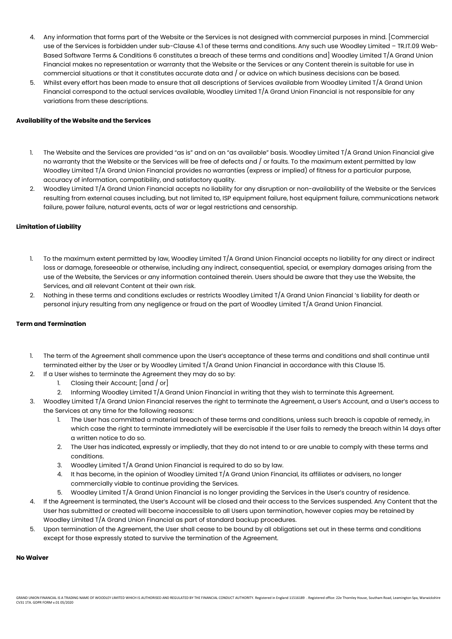- 4. Any information that forms part of the Website or the Services is not designed with commercial purposes in mind. [Commercial use of the Services is forbidden under sub-Clause 4.1 of these terms and conditions. Any such use Woodley Limited – TR.IT.09 Web-Based Software Terms & Conditions 6 constitutes a breach of these terms and conditions and] Woodley Limited T/A Grand Union Financial makes no representation or warranty that the Website or the Services or any Content therein is suitable for use in commercial situations or that it constitutes accurate data and / or advice on which business decisions can be based.
- 5. Whilst every effort has been made to ensure that all descriptions of Services available from Woodley Limited T/A Grand Union Financial correspond to the actual services available, Woodley Limited T/A Grand Union Financial is not responsible for any variations from these descriptions.

## **Availability of the Website and the Services**

- 1. The Website and the Services are provided "as is" and on an "as available" basis. Woodley Limited T/A Grand Union Financial give no warranty that the Website or the Services will be free of defects and / or faults. To the maximum extent permitted by law Woodley Limited T/A Grand Union Financial provides no warranties (express or implied) of fitness for a particular purpose, accuracy of information, compatibility, and satisfactory quality.
- 2. Woodley Limited T/A Grand Union Financial accepts no liability for any disruption or non-availability of the Website or the Services resulting from external causes including, but not limited to, ISP equipment failure, host equipment failure, communications network failure, power failure, natural events, acts of war or legal restrictions and censorship.

# **Limitation of Liability**

- 1. To the maximum extent permitted by law, Woodley Limited T/A Grand Union Financial accepts no liability for any direct or indirect loss or damage, foreseeable or otherwise, including any indirect, consequential, special, or exemplary damages arising from the use of the Website, the Services or any information contained therein. Users should be aware that they use the Website, the Services, and all relevant Content at their own risk.
- 2. Nothing in these terms and conditions excludes or restricts Woodley Limited T/A Grand Union Financial 's liability for death or personal injury resulting from any negligence or fraud on the part of Woodley Limited T/A Grand Union Financial.

#### **Term and Termination**

- 1. The term of the Agreement shall commence upon the User's acceptance of these terms and conditions and shall continue until terminated either by the User or by Woodley Limited T/A Grand Union Financial in accordance with this Clause 15.
- 2. If a User wishes to terminate the Agreement they may do so by:
	- 1. Closing their Account; [and / or]
	- 2. Informing Woodley Limited T/A Grand Union Financial in writing that they wish to terminate this Agreement.
- 3. Woodley Limited T/A Grand Union Financial reserves the right to terminate the Agreement, a User's Account, and a User's access to the Services at any time for the following reasons:
	- 1. The User has committed a material breach of these terms and conditions, unless such breach is capable of remedy, in which case the right to terminate immediately will be exercisable if the User fails to remedy the breach within 14 days after a written notice to do so.
	- 2. The User has indicated, expressly or impliedly, that they do not intend to or are unable to comply with these terms and conditions.
	- 3. Woodley Limited T/A Grand Union Financial is required to do so by law.
	- 4. It has become, in the opinion of Woodley Limited T/A Grand Union Financial, its affiliates or advisers, no longer commercially viable to continue providing the Services.
	- 5. Woodley Limited T/A Grand Union Financial is no longer providing the Services in the User's country of residence.
- 4. If the Agreement is terminated, the User's Account will be closed and their access to the Services suspended. Any Content that the User has submitted or created will become inaccessible to all Users upon termination, however copies may be retained by Woodley Limited T/A Grand Union Financial as part of standard backup procedures.
- 5. Upon termination of the Agreement, the User shall cease to be bound by all obligations set out in these terms and conditions except for those expressly stated to survive the termination of the Agreement.

#### **No Waiver**